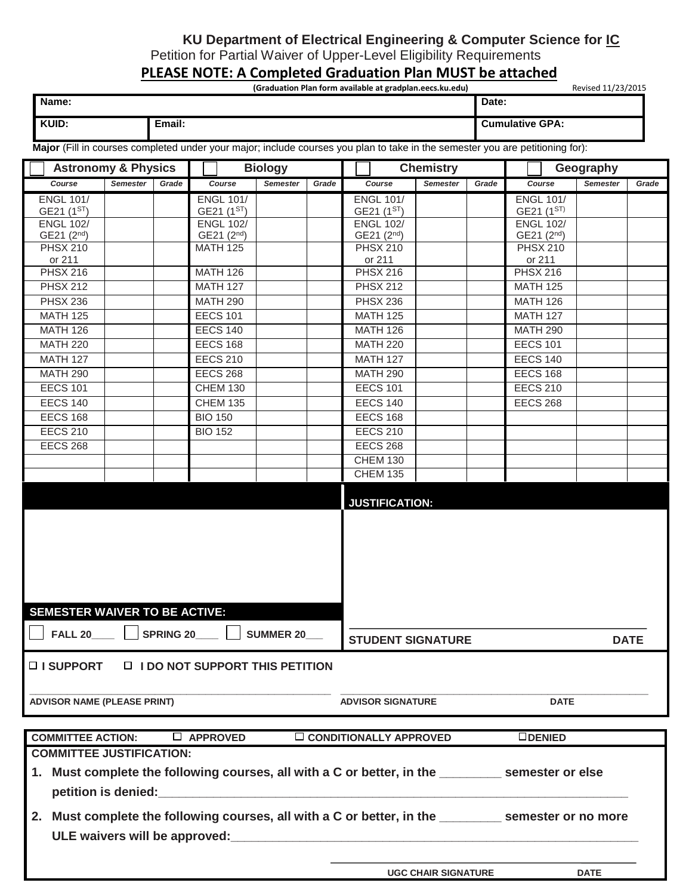## **KU Department of Electrical Engineering & Computer Science for IC**

Petition for Partial Waiver of Upper-Level Eligibility Requirements

## **PLEASE NOTE: A Completed Graduation Plan MUST be attached**

|       | (Graduation Plan form available at gradplan.eecs.ku.edu) | Revised 11/23/2015     |
|-------|----------------------------------------------------------|------------------------|
| Name: |                                                          | Date:                  |
|       |                                                          |                        |
| KUID: | Email:                                                   | <b>Cumulative GPA:</b> |
|       |                                                          |                        |

**Major** (Fill in courses completed under your major; include courses you plan to take in the semester you are petitioning for):

| <b>Astronomy &amp; Physics</b>                                                                                                |                 | <b>Biology</b> |                                             |                 | <b>Chemistry</b> |                                             |                 | Geography |                                             |                 |             |  |
|-------------------------------------------------------------------------------------------------------------------------------|-----------------|----------------|---------------------------------------------|-----------------|------------------|---------------------------------------------|-----------------|-----------|---------------------------------------------|-----------------|-------------|--|
| Course                                                                                                                        | <b>Semester</b> | Grade          | Course                                      | <b>Semester</b> | Grade            | Course                                      | <b>Semester</b> | Grade     | Course                                      | <b>Semester</b> | Grade       |  |
| <b>ENGL 101/</b>                                                                                                              |                 |                | <b>ENGL 101/</b>                            |                 |                  | <b>ENGL 101/</b>                            |                 |           | <b>ENGL 101/</b>                            |                 |             |  |
| GE21 (1ST)                                                                                                                    |                 |                | GE21 (1ST)                                  |                 |                  | GE21 (1ST)                                  |                 |           | GE21 (1ST)                                  |                 |             |  |
| <b>ENGL 102/</b><br>GE21 (2 <sup>nd</sup> )                                                                                   |                 |                | <b>ENGL 102/</b><br>GE21 (2 <sup>nd</sup> ) |                 |                  | <b>ENGL 102/</b><br>GE21 (2 <sup>nd</sup> ) |                 |           | <b>ENGL 102/</b><br>GE21 (2 <sup>nd</sup> ) |                 |             |  |
| <b>PHSX 210</b>                                                                                                               |                 |                | <b>MATH 125</b>                             |                 |                  | <b>PHSX 210</b>                             |                 |           | <b>PHSX 210</b>                             |                 |             |  |
| or 211                                                                                                                        |                 |                |                                             |                 |                  | or 211                                      |                 |           | or 211                                      |                 |             |  |
| <b>PHSX 216</b>                                                                                                               |                 |                | <b>MATH 126</b>                             |                 |                  | <b>PHSX 216</b>                             |                 |           | <b>PHSX 216</b>                             |                 |             |  |
| <b>PHSX 212</b>                                                                                                               |                 |                | <b>MATH 127</b>                             |                 |                  | <b>PHSX 212</b>                             |                 |           | <b>MATH 125</b>                             |                 |             |  |
| <b>PHSX 236</b>                                                                                                               |                 |                | <b>MATH 290</b>                             |                 |                  | <b>PHSX 236</b>                             |                 |           | <b>MATH 126</b>                             |                 |             |  |
| <b>MATH 125</b>                                                                                                               |                 |                | <b>EECS 101</b>                             |                 |                  | <b>MATH 125</b>                             |                 |           | <b>MATH 127</b>                             |                 |             |  |
| <b>MATH 126</b>                                                                                                               |                 |                | <b>EECS 140</b>                             |                 |                  | <b>MATH 126</b>                             |                 |           | <b>MATH 290</b>                             |                 |             |  |
| <b>MATH 220</b>                                                                                                               |                 |                | <b>EECS 168</b>                             |                 |                  | <b>MATH 220</b>                             |                 |           | <b>EECS 101</b>                             |                 |             |  |
| <b>MATH 127</b>                                                                                                               |                 |                | <b>EECS 210</b>                             |                 |                  | <b>MATH 127</b>                             |                 |           | <b>EECS 140</b>                             |                 |             |  |
| <b>MATH 290</b>                                                                                                               |                 |                | <b>EECS 268</b>                             |                 |                  | <b>MATH 290</b>                             |                 |           | <b>EECS 168</b>                             |                 |             |  |
| <b>EECS 101</b>                                                                                                               |                 |                | <b>CHEM 130</b>                             |                 |                  | <b>EECS 101</b>                             |                 |           | <b>EECS 210</b>                             |                 |             |  |
| <b>EECS 140</b>                                                                                                               |                 |                | <b>CHEM 135</b>                             |                 |                  | <b>EECS 140</b>                             |                 |           | <b>EECS 268</b>                             |                 |             |  |
| <b>EECS 168</b>                                                                                                               |                 |                | <b>BIO 150</b>                              |                 |                  | <b>EECS 168</b>                             |                 |           |                                             |                 |             |  |
| <b>EECS 210</b>                                                                                                               |                 |                | <b>BIO 152</b>                              |                 |                  | <b>EECS 210</b>                             |                 |           |                                             |                 |             |  |
| <b>EECS 268</b>                                                                                                               |                 |                |                                             |                 |                  | <b>EECS 268</b>                             |                 |           |                                             |                 |             |  |
|                                                                                                                               |                 |                |                                             |                 |                  | <b>CHEM 130</b>                             |                 |           |                                             |                 |             |  |
|                                                                                                                               |                 |                |                                             |                 |                  | <b>CHEM 135</b>                             |                 |           |                                             |                 |             |  |
|                                                                                                                               |                 |                |                                             |                 |                  | <b>JUSTIFICATION:</b>                       |                 |           |                                             |                 |             |  |
| <b>SEMESTER WAIVER TO BE ACTIVE:</b>                                                                                          |                 |                |                                             |                 |                  |                                             |                 |           |                                             |                 |             |  |
| <b>SPRING 20</b><br><b>FALL 20</b><br><b>SUMMER 20</b>                                                                        |                 |                |                                             |                 |                  | <b>STUDENT SIGNATURE</b>                    |                 |           |                                             |                 | <b>DATE</b> |  |
| □ I SUPPORT □ I DO NOT SUPPORT THIS PETITION<br><b>ADVISOR NAME (PLEASE PRINT)</b><br><b>ADVISOR SIGNATURE</b><br><b>DATE</b> |                 |                |                                             |                 |                  |                                             |                 |           |                                             |                 |             |  |
| <b>COMMITTEE ACTION:</b><br>$\Box$ APPROVED<br>$\Box$ CONDITIONALLY APPROVED                                                  |                 |                |                                             |                 |                  |                                             |                 |           | $\Box$ DENIED                               |                 |             |  |
| <b>COMMITTEE JUSTIFICATION:</b>                                                                                               |                 |                |                                             |                 |                  |                                             |                 |           |                                             |                 |             |  |
| 1. Must complete the following courses, all with a C or better, in the _________ semester or else<br>petition is denied:      |                 |                |                                             |                 |                  |                                             |                 |           |                                             |                 |             |  |
| Must complete the following courses, all with a C or better, in the __________ semester or no more<br>2.                      |                 |                |                                             |                 |                  |                                             |                 |           |                                             |                 |             |  |

**UGC CHAIR SIGNATURE DATE**